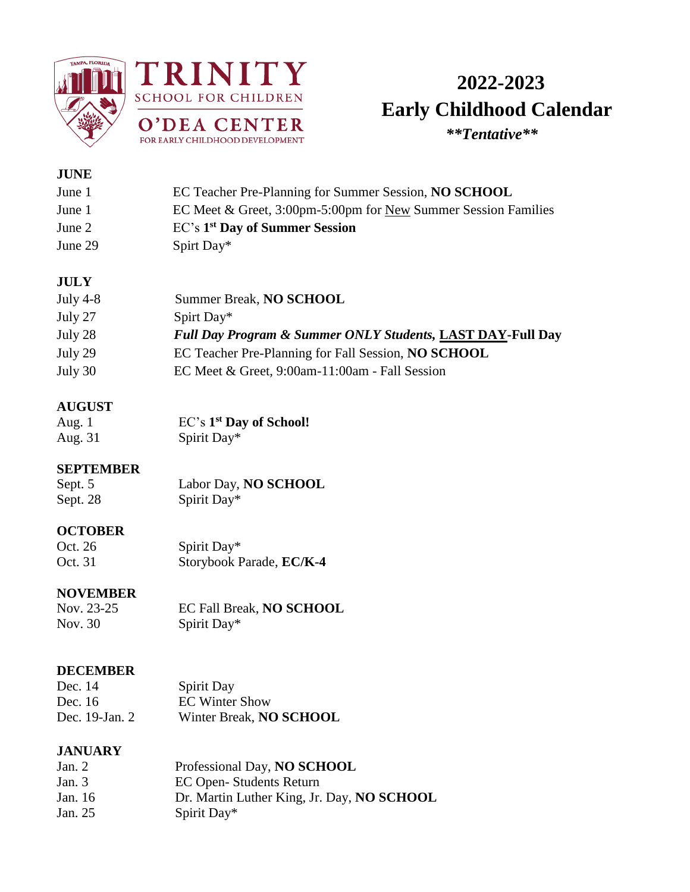



# **2022-2023 Early Childhood Calendar**<br> **Early Childhood Calendar**

### **JUNE**

| June 1  | EC Teacher Pre-Planning for Summer Session, NO SCHOOL                 |
|---------|-----------------------------------------------------------------------|
| June 1  | EC Meet & Greet, 3:00pm-5:00pm for <u>New</u> Summer Session Families |
| June 2  | EC's 1 <sup>st</sup> Day of Summer Session                            |
| June 29 | Spirt Day*                                                            |

### **JULY**

| July 4-8 | Summer Break, NO SCHOOL                                               |
|----------|-----------------------------------------------------------------------|
| July 27  | Spirt Day*                                                            |
| July 28  | <b>Full Day Program &amp; Summer ONLY Students, LAST DAY-Full Day</b> |
| July 29  | EC Teacher Pre-Planning for Fall Session, NO SCHOOL                   |
| July 30  | EC Meet & Greet, 9:00am-11:00am - Fall Session                        |

### **AUGUST**

| Aug. 1  | $EC's 1st$ Day of School! |
|---------|---------------------------|
| Aug. 31 | Spirit Day*               |

**SEPTEMBER**<br>Sept. 5 Sept. 5 Labor Day, **NO SCHOOL**<br>Sept. 28 Spirit Day\* Spirit Day\*

### **OCTOBER**

| Oct. 26 | Spirit Day*              |
|---------|--------------------------|
| Oct. 31 | Storybook Parade, EC/K-4 |

### **NOVEMBER**

Nov. 23-25 EC Fall Break, **NO SCHOOL** Nov. 30 Spirit Day\*

### **DECEMBER**

| Dec. 14        | <b>Spirit Day</b>       |
|----------------|-------------------------|
| Dec. 16        | <b>EC Winter Show</b>   |
| Dec. 19-Jan. 2 | Winter Break, NO SCHOOL |

### **JANUARY**

| Jan. 2  | Professional Day, NO SCHOOL                |
|---------|--------------------------------------------|
| Jan. 3  | EC Open-Students Return                    |
| Jan. 16 | Dr. Martin Luther King, Jr. Day, NO SCHOOL |
| Jan. 25 | Spirit Day*                                |